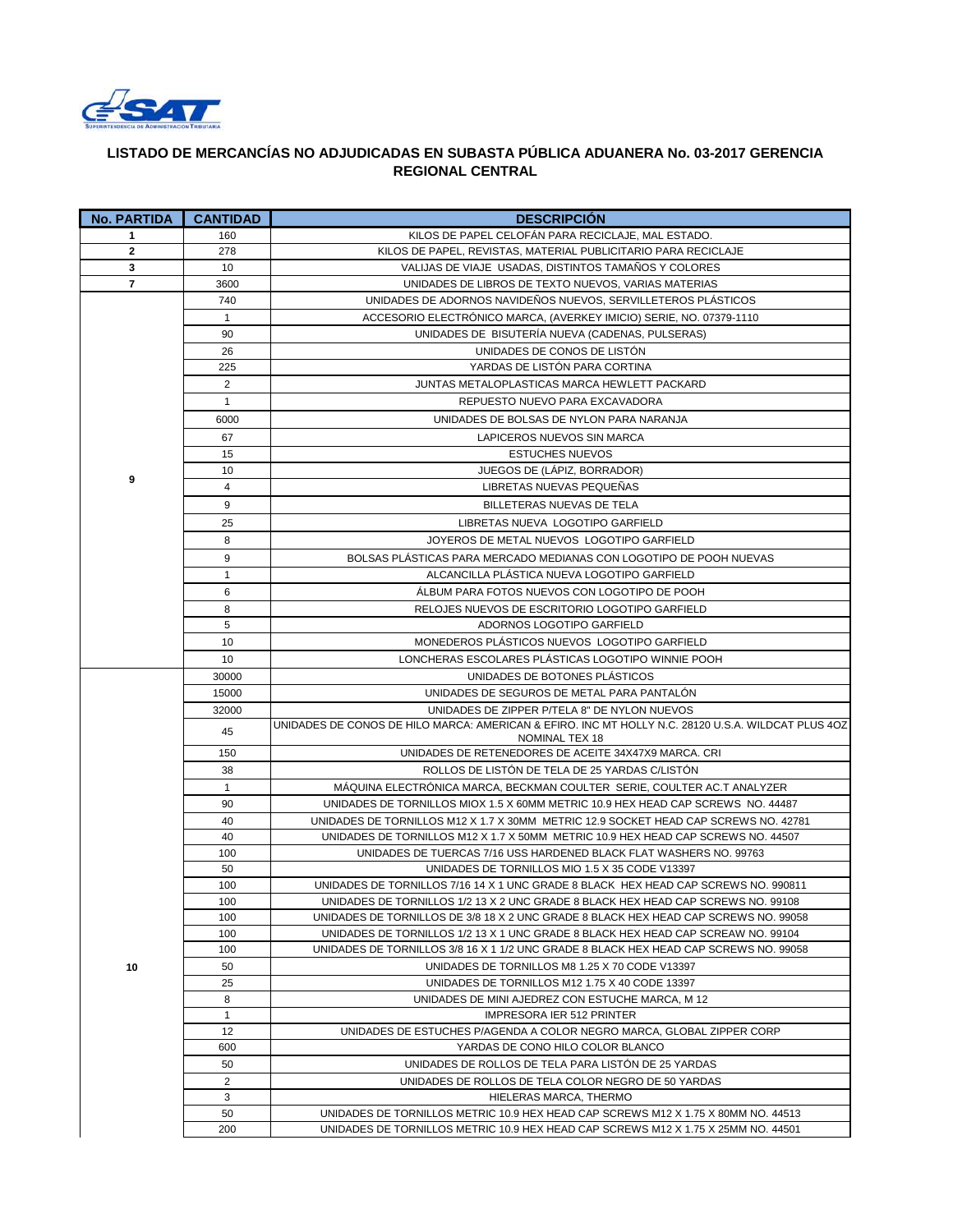

## **LISTADO DE MERCANCÍAS NO ADJUDICADAS EN SUBASTA PÚBLICA ADUANERA No. 03-2017 GERENCIA REGIONAL CENTRAL**

| <b>No. PARTIDA</b> | <b>CANTIDAD</b> | <b>DESCRIPCIÓN</b>                                                                                                                                                      |
|--------------------|-----------------|-------------------------------------------------------------------------------------------------------------------------------------------------------------------------|
| 1                  | 160             | KILOS DE PAPEL CELOFÁN PARA RECICLAJE, MAL ESTADO.                                                                                                                      |
| $\mathbf{2}$       | 278             | KILOS DE PAPEL, REVISTAS, MATERIAL PUBLICITARIO PARA RECICLAJE                                                                                                          |
| 3                  | 10              | VALIJAS DE VIAJE USADAS, DISTINTOS TAMAÑOS Y COLORES                                                                                                                    |
| $\overline{7}$     | 3600            | UNIDADES DE LIBROS DE TEXTO NUEVOS, VARIAS MATERIAS                                                                                                                     |
|                    | 740             | UNIDADES DE ADORNOS NAVIDEÑOS NUEVOS, SERVILLETEROS PLÁSTICOS                                                                                                           |
|                    | $\mathbf{1}$    | ACCESORIO ELECTRÓNICO MARCA, (AVERKEY IMICIO) SERIE, NO. 07379-1110                                                                                                     |
|                    | 90              | UNIDADES DE BISUTERÍA NUEVA (CADENAS, PULSERAS)                                                                                                                         |
|                    | 26              | UNIDADES DE CONOS DE LISTÓN                                                                                                                                             |
|                    | 225             | YARDAS DE LISTÓN PARA CORTINA                                                                                                                                           |
|                    | 2               | JUNTAS METALOPLASTICAS MARCA HEWLETT PACKARD                                                                                                                            |
|                    | $\mathbf{1}$    | REPUESTO NUEVO PARA EXCAVADORA                                                                                                                                          |
|                    | 6000            | UNIDADES DE BOLSAS DE NYLON PARA NARANJA                                                                                                                                |
|                    | 67              | LAPICEROS NUEVOS SIN MARCA                                                                                                                                              |
|                    | 15              | <b>ESTUCHES NUEVOS</b>                                                                                                                                                  |
| 9                  | 10              | JUEGOS DE (LÁPIZ, BORRADOR)                                                                                                                                             |
|                    | 4               | LIBRETAS NUEVAS PEQUEÑAS                                                                                                                                                |
|                    | 9               | BILLETERAS NUEVAS DE TELA                                                                                                                                               |
|                    | 25              | LIBRETAS NUEVA LOGOTIPO GARFIELD                                                                                                                                        |
|                    | 8               | JOYEROS DE METAL NUEVOS LOGOTIPO GARFIELD                                                                                                                               |
|                    | 9               | BOLSAS PLASTICAS PARA MERCADO MEDIANAS CON LOGOTIPO DE POOH NUEVAS                                                                                                      |
|                    | 1               | ALCANCILLA PLASTICA NUEVA LOGOTIPO GARFIELD                                                                                                                             |
|                    | 6               | ALBUM PARA FOTOS NUEVOS CON LOGOTIPO DE POOH                                                                                                                            |
|                    | 8               | RELOJES NUEVOS DE ESCRITORIO LOGOTIPO GARFIELD                                                                                                                          |
|                    | 5               | ADORNOS LOGOTIPO GARFIELD                                                                                                                                               |
|                    | 10              | MONEDEROS PLÁSTICOS NUEVOS LOGOTIPO GARFIELD                                                                                                                            |
|                    | 10              | LONCHERAS ESCOLARES PLÁSTICAS LOGOTIPO WINNIE POOH                                                                                                                      |
|                    | 30000           | UNIDADES DE BOTONES PLÁSTICOS                                                                                                                                           |
|                    | 15000           | UNIDADES DE SEGUROS DE METAL PARA PANTALÓN                                                                                                                              |
|                    | 32000           | UNIDADES DE ZIPPER P/TELA 8" DE NYLON NUEVOS                                                                                                                            |
|                    | 45              | UNIDADES DE CONOS DE HILO MARCA: AMERICAN & EFIRO. INC MT HOLLY N.C. 28120 U.S.A. WILDCAT PLUS 4OZ<br>NOMINAL TEX 18                                                    |
|                    | 150             | UNIDADES DE RETENEDORES DE ACEITE 34X47X9 MARCA. CRI                                                                                                                    |
|                    | 38              | ROLLOS DE LISTÓN DE TELA DE 25 YARDAS C/LISTÓN                                                                                                                          |
|                    | $\mathbf{1}$    | MÁQUINA ELECTRÓNICA MARCA, BECKMAN COULTER SERIE, COULTER AC.T ANALYZER                                                                                                 |
|                    | 90              | UNIDADES DE TORNILLOS MIOX 1.5 X 60MM METRIC 10.9 HEX HEAD CAP SCREWS NO. 44487                                                                                         |
|                    | 40              | UNIDADES DE TORNILLOS M12 X 1.7 X 30MM METRIC 12.9 SOCKET HEAD CAP SCREWS NO. 42781                                                                                     |
|                    | 40              | UNIDADES DE TORNILLOS M12 X 1.7 X 50MM METRIC 10.9 HEX HEAD CAP SCREWS NO. 44507                                                                                        |
|                    | 100             | UNIDADES DE TUERCAS 7/16 USS HARDENED BLACK FLAT WASHERS NO. 99763                                                                                                      |
|                    | 50              | UNIDADES DE TORNILLOS MIO 1.5 X 35 CODE V13397                                                                                                                          |
|                    | 100             | UNIDADES DE TORNILLOS 7/16 14 X 1 UNC GRADE 8 BLACK HEX HEAD CAP SCREWS NO. 990811                                                                                      |
|                    | 100<br>100      | UNIDADES DE TORNILLOS 1/2 13 X 2 UNC GRADE 8 BLACK HEX HEAD CAP SCREWS NO. 99108<br>UNIDADES DE TORNILLOS DE 3/8 18 X 2 UNC GRADE 8 BLACK HEX HEAD CAP SCREWS NO. 99058 |
|                    | 100             | UNIDADES DE TORNILLOS 1/2 13 X 1 UNC GRADE 8 BLACK HEX HEAD CAP SCREAW NO. 99104                                                                                        |
|                    | 100             | UNIDADES DE TORNILLOS 3/8 16 X 1 1/2 UNC GRADE 8 BLACK HEX HEAD CAP SCREWS NO. 99058                                                                                    |
| 10                 | 50              | UNIDADES DE TORNILLOS M8 1.25 X 70 CODE V13397                                                                                                                          |
|                    | 25              | UNIDADES DE TORNILLOS M12 1.75 X 40 CODE 13397                                                                                                                          |
|                    | 8               | UNIDADES DE MINI AJEDREZ CON ESTUCHE MARCA, M 12                                                                                                                        |
|                    | $\mathbf{1}$    | <b>IMPRESORA IER 512 PRINTER</b>                                                                                                                                        |
|                    | 12              | UNIDADES DE ESTUCHES P/AGENDA A COLOR NEGRO MARCA, GLOBAL ZIPPER CORP                                                                                                   |
|                    | 600             | YARDAS DE CONO HILO COLOR BLANCO                                                                                                                                        |
|                    | 50              | UNIDADES DE ROLLOS DE TELA PARA LISTON DE 25 YARDAS                                                                                                                     |
|                    | 2               | UNIDADES DE ROLLOS DE TELA COLOR NEGRO DE 50 YARDAS                                                                                                                     |
|                    | 3               | HIELERAS MARCA, THERMO                                                                                                                                                  |
|                    | 50              | UNIDADES DE TORNILLOS METRIC 10.9 HEX HEAD CAP SCREWS M12 X 1.75 X 80MM NO. 44513                                                                                       |
|                    | 200             | UNIDADES DE TORNILLOS METRIC 10.9 HEX HEAD CAP SCREWS M12 X 1.75 X 25MM NO. 44501                                                                                       |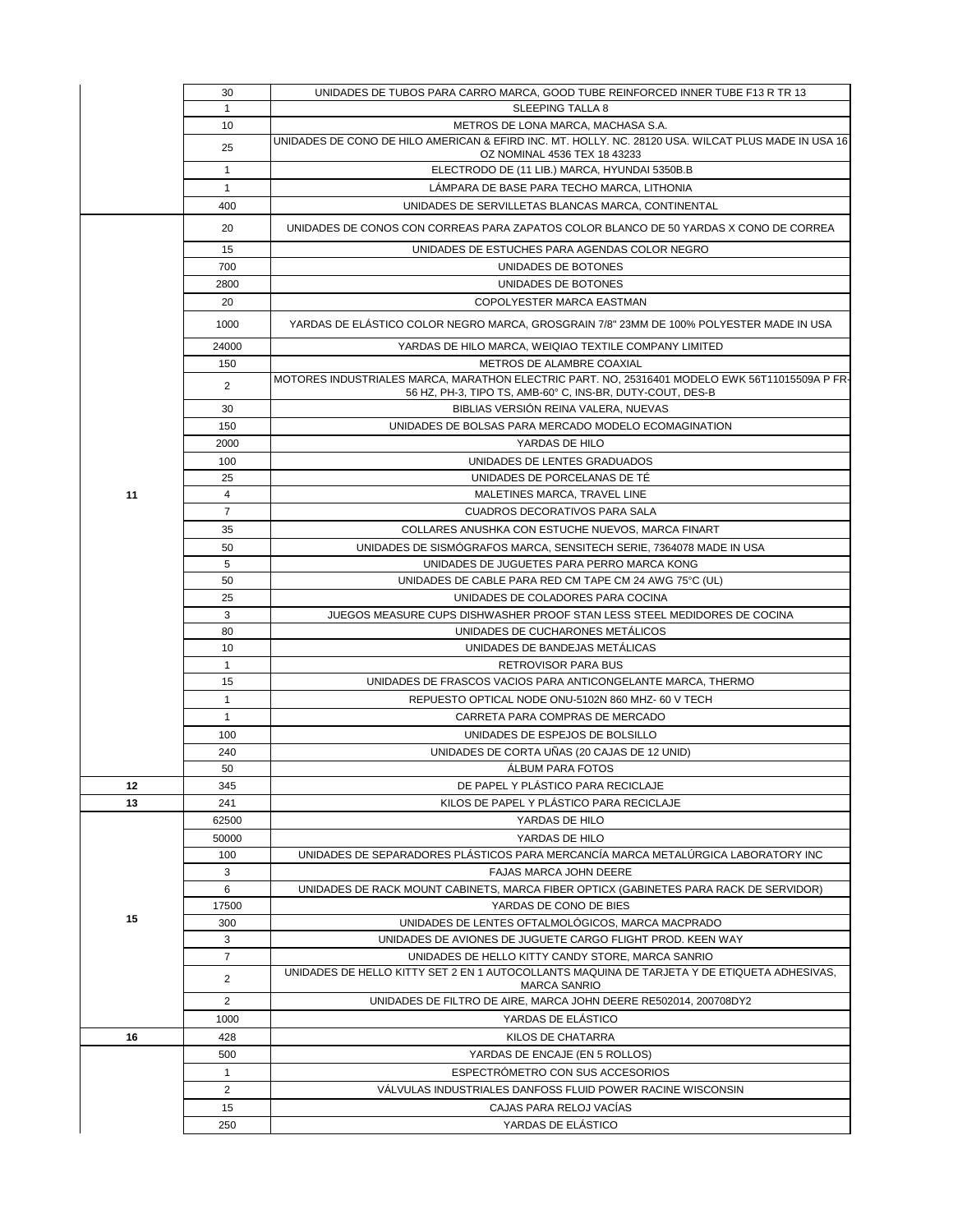|    | 30             | UNIDADES DE TUBOS PARA CARRO MARCA, GOOD TUBE REINFORCED INNER TUBE F13 R TR 13                              |
|----|----------------|--------------------------------------------------------------------------------------------------------------|
|    | $\mathbf{1}$   | <b>SLEEPING TALLA 8</b>                                                                                      |
|    | 10             | METROS DE LONA MARCA, MACHASA S.A.                                                                           |
|    | 25             | UNIDADES DE CONO DE HILO AMERICAN & EFIRD INC. MT. HOLLY. NC. 28120 USA. WILCAT PLUS MADE IN USA 16          |
|    |                | OZ NOMINAL 4536 TEX 18 43233                                                                                 |
|    | $\mathbf{1}$   | ELECTRODO DE (11 LIB.) MARCA, HYUNDAI 5350B.B                                                                |
|    | $\mathbf{1}$   | LÁMPARA DE BASE PARA TECHO MARCA, LITHONIA                                                                   |
|    | 400            | UNIDADES DE SERVILLETAS BLANCAS MARCA, CONTINENTAL                                                           |
|    | 20             | UNIDADES DE CONOS CON CORREAS PARA ZAPATOS COLOR BLANCO DE 50 YARDAS X CONO DE CORREA                        |
|    | 15             | UNIDADES DE ESTUCHES PARA AGENDAS COLOR NEGRO                                                                |
|    | 700            | UNIDADES DE BOTONES                                                                                          |
|    | 2800           | UNIDADES DE BOTONES                                                                                          |
|    | 20             | COPOLYESTER MARCA EASTMAN                                                                                    |
|    |                |                                                                                                              |
|    | 1000           | YARDAS DE ELASTICO COLOR NEGRO MARCA, GROSGRAIN 7/8" 23MM DE 100% POLYESTER MADE IN USA                      |
|    | 24000          | YARDAS DE HILO MARCA, WEIQIAO TEXTILE COMPANY LIMITED                                                        |
|    | 150            | METROS DE ALAMBRE COAXIAL                                                                                    |
|    | 2              | MOTORES INDUSTRIALES MARCA, MARATHON ELECTRIC PART. NO, 25316401 MODELO EWK 56T11015509A P FR-               |
|    |                | 56 HZ, PH-3, TIPO TS, AMB-60° C, INS-BR, DUTY-COUT, DES-B                                                    |
|    | 30             | BIBLIAS VERSIÓN REINA VALERA, NUEVAS                                                                         |
|    | 150            | UNIDADES DE BOLSAS PARA MERCADO MODELO ECOMAGINATION                                                         |
|    | 2000           | YARDAS DE HILO                                                                                               |
|    | 100            | UNIDADES DE LENTES GRADUADOS                                                                                 |
|    | 25             | UNIDADES DE PORCELANAS DE TÉ                                                                                 |
| 11 | $\overline{4}$ | MALETINES MARCA, TRAVEL LINE                                                                                 |
|    | $\overline{7}$ | CUADROS DECORATIVOS PARA SALA                                                                                |
|    | 35             | COLLARES ANUSHKA CON ESTUCHE NUEVOS, MARCA FINART                                                            |
|    | 50             | UNIDADES DE SISMÓGRAFOS MARCA, SENSITECH SERIE, 7364078 MADE IN USA                                          |
|    | 5              | UNIDADES DE JUGUETES PARA PERRO MARCA KONG                                                                   |
|    | 50             | UNIDADES DE CABLE PARA RED CM TAPE CM 24 AWG 75°C (UL)                                                       |
|    | 25             | UNIDADES DE COLADORES PARA COCINA                                                                            |
|    | 3<br>80        | JUEGOS MEASURE CUPS DISHWASHER PROOF STAN LESS STEEL MEDIDORES DE COCINA<br>UNIDADES DE CUCHARONES METÁLICOS |
|    | 10             | UNIDADES DE BANDEJAS METÁLICAS                                                                               |
|    | $\mathbf{1}$   | <b>RETROVISOR PARA BUS</b>                                                                                   |
|    | 15             | UNIDADES DE FRASCOS VACIOS PARA ANTICONGELANTE MARCA, THERMO                                                 |
|    | $\mathbf{1}$   | REPUESTO OPTICAL NODE ONU-5102N 860 MHZ- 60 V TECH                                                           |
|    | $\mathbf{1}$   |                                                                                                              |
|    |                | CARRETA PARA COMPRAS DE MERCADO                                                                              |
|    | 100            | UNIDADES DE ESPEJOS DE BOLSILLO                                                                              |
|    | 240<br>50      | UNIDADES DE CORTA UÑAS (20 CAJAS DE 12 UNID)<br><b>ALBUM PARA FOTOS</b>                                      |
| 12 | 345            | DE PAPEL Y PLASTICO PARA RECICLAJE                                                                           |
| 13 | 241            | KILOS DE PAPEL Y PLÁSTICO PARA RECICLAJE                                                                     |
|    | 62500          | YARDAS DE HILO                                                                                               |
|    | 50000          | YARDAS DE HILO                                                                                               |
|    | 100            | UNIDADES DE SEPARADORES PLÁSTICOS PARA MERCANCÍA MARCA METALÚRGICA LABORATORY INC                            |
|    | 3              | <b>FAJAS MARCA JOHN DEERE</b>                                                                                |
|    | 6              | UNIDADES DE RACK MOUNT CABINETS, MARCA FIBER OPTICX (GABINETES PARA RACK DE SERVIDOR)                        |
|    | 17500          | YARDAS DE CONO DE BIES                                                                                       |
| 15 | 300            | UNIDADES DE LENTES OFTALMOLÓGICOS, MARCA MACPRADO                                                            |
|    | 3              | UNIDADES DE AVIONES DE JUGUETE CARGO FLIGHT PROD. KEEN WAY                                                   |
|    | $\overline{7}$ | UNIDADES DE HELLO KITTY CANDY STORE, MARCA SANRIO                                                            |
|    | $\overline{2}$ | UNIDADES DE HELLO KITTY SET 2 EN 1 AUTOCOLLANTS MAQUINA DE TARJETA Y DE ETIQUETA ADHESIVAS.                  |
|    |                | <b>MARCA SANRIO</b>                                                                                          |
|    | $\overline{2}$ | UNIDADES DE FILTRO DE AIRE, MARCA JOHN DEERE RE502014, 200708DY2                                             |
|    | 1000           | YARDAS DE ELÁSTICO                                                                                           |
| 16 | 428            | KILOS DE CHATARRA                                                                                            |
|    | 500            | YARDAS DE ENCAJE (EN 5 ROLLOS)                                                                               |
|    | $\mathbf{1}$   | ESPECTRÓMETRO CON SUS ACCESORIOS                                                                             |
|    | $\overline{2}$ | VALVULAS INDUSTRIALES DANFOSS FLUID POWER RACINE WISCONSIN                                                   |
|    | 15             | CAJAS PARA RELOJ VACIAS                                                                                      |
|    | 250            | YARDAS DE ELÁSTICO                                                                                           |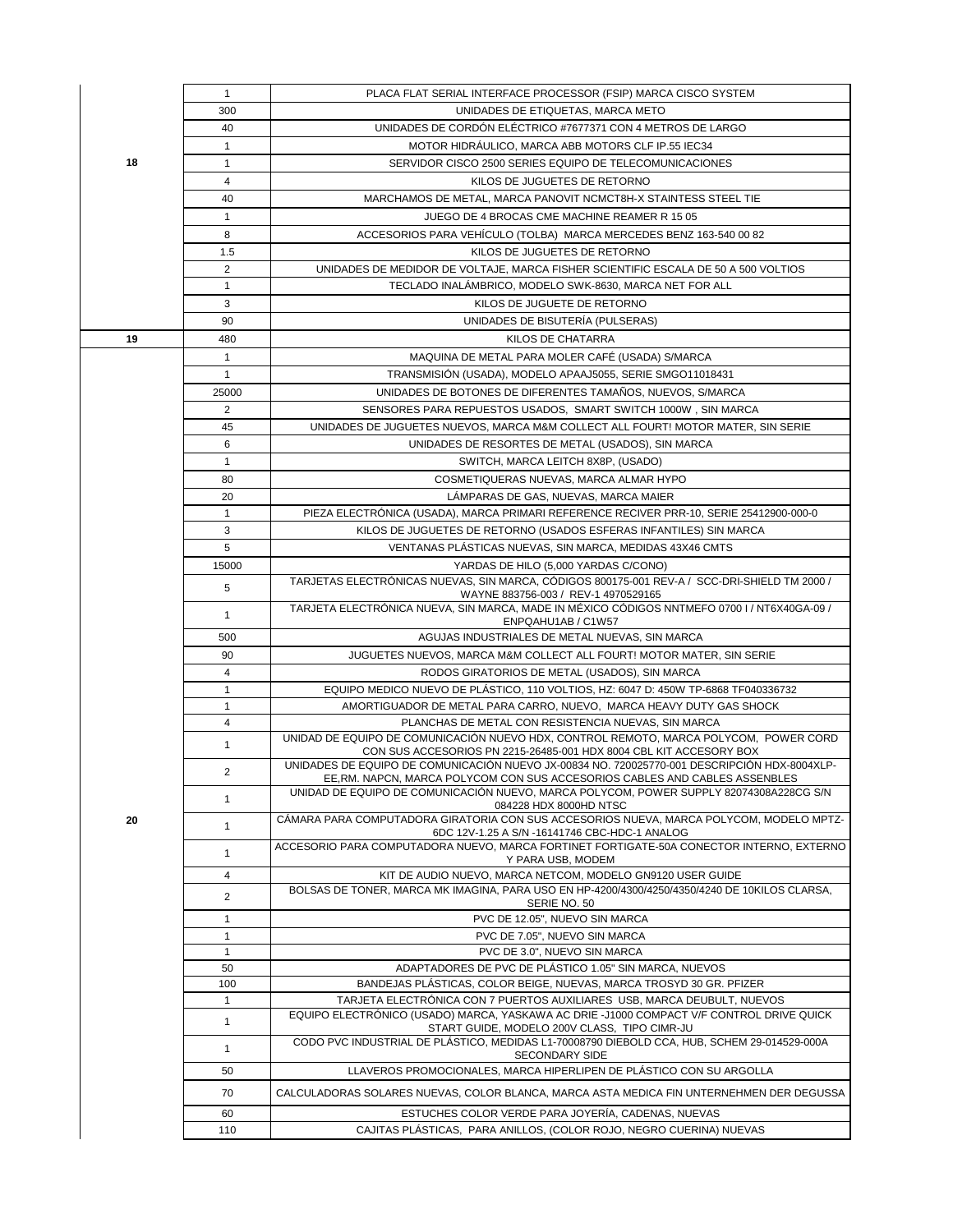|    | $\mathbf{1}$   | PLACA FLAT SERIAL INTERFACE PROCESSOR (FSIP) MARCA CISCO SYSTEM                                                                                                            |
|----|----------------|----------------------------------------------------------------------------------------------------------------------------------------------------------------------------|
|    | 300            | UNIDADES DE ETIQUETAS. MARCA METO                                                                                                                                          |
|    | 40             | UNIDADES DE CORDÓN ELÉCTRICO #7677371 CON 4 METROS DE LARGO                                                                                                                |
|    | $\mathbf{1}$   | MOTOR HIDRAULICO, MARCA ABB MOTORS CLF IP.55 IEC34                                                                                                                         |
| 18 | $\mathbf{1}$   | SERVIDOR CISCO 2500 SERIES EQUIPO DE TELECOMUNICACIONES                                                                                                                    |
|    | 4              | KILOS DE JUGUETES DE RETORNO                                                                                                                                               |
|    | 40             | MARCHAMOS DE METAL, MARCA PANOVIT NCMCT8H-X STAINTESS STEEL TIE                                                                                                            |
|    | $\mathbf{1}$   | JUEGO DE 4 BROCAS CME MACHINE REAMER R 15 05                                                                                                                               |
|    | 8              | ACCESORIOS PARA VEHICULO (TOLBA) MARCA MERCEDES BENZ 163-540 00 82                                                                                                         |
|    | 1.5            | KILOS DE JUGUETES DE RETORNO                                                                                                                                               |
|    | $\overline{2}$ | UNIDADES DE MEDIDOR DE VOLTAJE, MARCA FISHER SCIENTIFIC ESCALA DE 50 A 500 VOLTIOS                                                                                         |
|    | $\mathbf{1}$   | TECLADO INALÁMBRICO, MODELO SWK-8630, MARCA NET FOR ALL                                                                                                                    |
|    | 3              | KILOS DE JUGUETE DE RETORNO                                                                                                                                                |
|    | 90             | UNIDADES DE BISUTERÍA (PULSERAS)                                                                                                                                           |
| 19 | 480            | KILOS DE CHATARRA                                                                                                                                                          |
|    |                |                                                                                                                                                                            |
|    | $\mathbf{1}$   | MAQUINA DE METAL PARA MOLER CAFÉ (USADA) S/MARCA                                                                                                                           |
|    | $\mathbf{1}$   | TRANSMISIÓN (USADA), MODELO APAAJ5055, SERIE SMGO11018431                                                                                                                  |
|    | 25000          | UNIDADES DE BOTONES DE DIFERENTES TAMAÑOS, NUEVOS, S/MARCA                                                                                                                 |
|    | $\overline{2}$ | SENSORES PARA REPUESTOS USADOS, SMART SWITCH 1000W, SIN MARCA                                                                                                              |
|    | 45             | UNIDADES DE JUGUETES NUEVOS, MARCA M&M COLLECT ALL FOURT! MOTOR MATER, SIN SERIE                                                                                           |
|    | 6              | UNIDADES DE RESORTES DE METAL (USADOS), SIN MARCA                                                                                                                          |
|    | $\mathbf{1}$   | SWITCH, MARCA LEITCH 8X8P, (USADO)                                                                                                                                         |
|    | 80             | COSMETIQUERAS NUEVAS, MARCA ALMAR HYPO                                                                                                                                     |
|    | 20             | LÁMPARAS DE GAS, NUEVAS, MARCA MAIER                                                                                                                                       |
|    | $\mathbf{1}$   | PIEZA ELECTRÓNICA (USADA), MARCA PRIMARI REFERENCE RECIVER PRR-10, SERIE 25412900-000-0                                                                                    |
|    | 3              | KILOS DE JUGUETES DE RETORNO (USADOS ESFERAS INFANTILES) SIN MARCA                                                                                                         |
|    | 5              | VENTANAS PLÁSTICAS NUEVAS, SIN MARCA, MEDIDAS 43X46 CMTS                                                                                                                   |
|    | 15000          | YARDAS DE HILO (5,000 YARDAS C/CONO)                                                                                                                                       |
|    | 5              | TARJETAS ELECTRÓNICAS NUEVAS, SIN MARCA, CÓDIGOS 800175-001 REV-A / SCC-DRI-SHIELD TM 2000 /<br>WAYNE 883756-003 / REV-1 4970529165                                        |
|    | $\mathbf{1}$   | TARJETA ELECTRÓNICA NUEVA, SIN MARCA, MADE IN MÉXICO CÓDIGOS NNTMEFO 0700 I / NT6X40GA-09 /<br>ENPQAHU1AB / C1W57                                                          |
|    | 500            | AGUJAS INDUSTRIALES DE METAL NUEVAS, SIN MARCA                                                                                                                             |
|    | 90             | JUGUETES NUEVOS, MARCA M&M COLLECT ALL FOURT! MOTOR MATER, SIN SERIE                                                                                                       |
|    | 4              | RODOS GIRATORIOS DE METAL (USADOS), SIN MARCA                                                                                                                              |
|    | $\mathbf{1}$   | EQUIPO MEDICO NUEVO DE PLÁSTICO, 110 VOLTIOS, HZ: 6047 D: 450W TP-6868 TF040336732                                                                                         |
|    | $\mathbf{1}$   | AMORTIGUADOR DE METAL PARA CARRO, NUEVO, MARCA HEAVY DUTY GAS SHOCK                                                                                                        |
|    | 4              | PLANCHAS DE METAL CON RESISTENCIA NUEVAS, SIN MARCA                                                                                                                        |
|    | $\mathbf{1}$   | UNIDAD DE EQUIPO DE COMUNICACIÓN NUEVO HDX, CONTROL REMOTO, MARCA POLYCOM, POWER CORD<br>CON SUS ACCESORIOS PN 2215-26485-001 HDX 8004 CBL KIT ACCESORY BOX                |
|    | $\overline{2}$ | UNIDADES DE EQUIPO DE COMUNICACIÓN NUEVO JX-00834 NO. 720025770-001 DESCRIPCIÓN HDX-8004XLP-<br>EE RM, NAPCN, MARCA POLYCOM CON SUS ACCESORIOS CABLES AND CABLES ASSENBLES |
|    | $\mathbf{1}$   | UNIDAD DE EQUIPO DE COMUNICACIÓN NUEVO, MARCA POLYCOM, POWER SUPPLY 82074308A228CG S/N                                                                                     |
| 20 |                | 084228 HDX 8000HD NTSC<br>CÁMARA PARA COMPUTADORA GIRATORIA CON SUS ACCESORIOS NUEVA, MARCA POLYCOM, MODELO MPTZ-                                                          |
|    | $\mathbf{1}$   | 6DC 12V-1.25 A S/N -16141746 CBC-HDC-1 ANALOG<br>ACCESORIO PARA COMPUTADORA NUEVO, MARCA FORTINET FORTIGATE-50A CONECTOR INTERNO, EXTERNO                                  |
|    | $\mathbf{1}$   | Y PARA USB, MODEM                                                                                                                                                          |
|    | 4              | KIT DE AUDIO NUEVO, MARCA NETCOM, MODELO GN9120 USER GUIDE                                                                                                                 |
|    | $\overline{2}$ | BOLSAS DE TONER, MARCA MK IMAGINA, PARA USO EN HP-4200/4300/4250/4350/4240 DE 10KILOS CLARSA,<br>SERIE NO. 50                                                              |
|    | $\mathbf{1}$   | PVC DE 12.05", NUEVO SIN MARCA                                                                                                                                             |
|    | $\mathbf{1}$   | PVC DE 7.05", NUEVO SIN MARCA                                                                                                                                              |
|    | $\mathbf{1}$   | PVC DE 3.0", NUEVO SIN MARCA                                                                                                                                               |
|    | 50             | ADAPTADORES DE PVC DE PLÁSTICO 1.05" SIN MARCA, NUEVOS                                                                                                                     |
|    | 100            | BANDEJAS PLÁSTICAS, COLOR BEIGE, NUEVAS, MARCA TROSYD 30 GR. PFIZER                                                                                                        |
|    | $\mathbf{1}$   | TARJETA ELECTRÓNICA CON 7 PUERTOS AUXILIARES USB, MARCA DEUBULT, NUEVOS                                                                                                    |
|    | $\mathbf{1}$   | EQUIPO ELECTRÓNICO (USADO) MARCA, YASKAWA AC DRIE -J1000 COMPACT V/F CONTROL DRIVE QUICK<br>START GUIDE, MODELO 200V CLASS, TIPO CIMR-JU                                   |
|    | $\mathbf{1}$   | CODO PVC INDUSTRIAL DE PLÁSTICO, MEDIDAS L1-70008790 DIEBOLD CCA, HUB, SCHEM 29-014529-000A<br><b>SECONDARY SIDE</b>                                                       |
|    | 50             | LLAVEROS PROMOCIONALES, MARCA HIPERLIPEN DE PLÁSTICO CON SU ARGOLLA                                                                                                        |
|    | 70             | CALCULADORAS SOLARES NUEVAS, COLOR BLANCA, MARCA ASTA MEDICA FIN UNTERNEHMEN DER DEGUSSA                                                                                   |
|    | 60             | ESTUCHES COLOR VERDE PARA JOYERIA, CADENAS, NUEVAS                                                                                                                         |
|    | 110            | CAJITAS PLÁSTICAS, PARA ANILLOS, (COLOR ROJO, NEGRO CUERINA) NUEVAS                                                                                                        |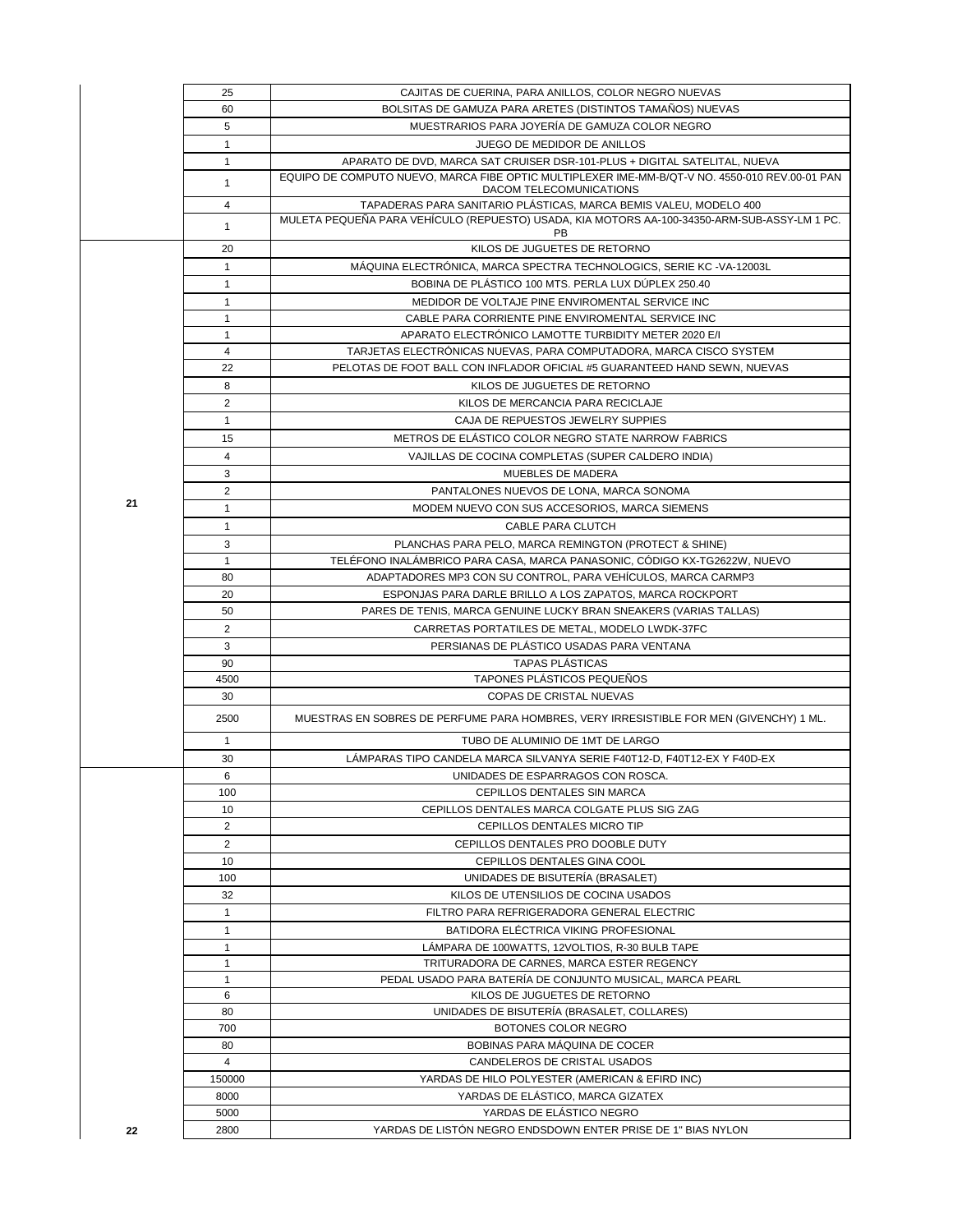|    | 25              | CAJITAS DE CUERINA, PARA ANILLOS, COLOR NEGRO NUEVAS                                                                      |
|----|-----------------|---------------------------------------------------------------------------------------------------------------------------|
|    | 60              | BOLSITAS DE GAMUZA PARA ARETES (DISTINTOS TAMAÑOS) NUEVAS                                                                 |
|    | 5               | MUESTRARIOS PARA JOYERÍA DE GAMUZA COLOR NEGRO                                                                            |
|    | $\mathbf{1}$    | JUEGO DE MEDIDOR DE ANILLOS                                                                                               |
|    | $\mathbf{1}$    | APARATO DE DVD, MARCA SAT CRUISER DSR-101-PLUS + DIGITAL SATELITAL, NUEVA                                                 |
|    | $\mathbf{1}$    | EQUIPO DE COMPUTO NUEVO. MARCA FIBE OPTIC MULTIPLEXER IME-MM-B/QT-V NO. 4550-010 REV.00-01 PAN<br>DACOM TELECOMUNICATIONS |
|    | $\overline{4}$  | TAPADERAS PARA SANITARIO PLÁSTICAS, MARCA BEMIS VALEU, MODELO 400                                                         |
|    | 1               | MULETA PEQUEÑA PARA VEHÍCULO (REPUESTO) USADA, KIA MOTORS AA-100-34350-ARM-SUB-ASSY-LM 1 PC.<br>PB                        |
|    | 20              | KILOS DE JUGUETES DE RETORNO                                                                                              |
|    | $\mathbf{1}$    | MÁQUINA ELECTRÓNICA, MARCA SPECTRA TECHNOLOGICS, SERIE KC -VA-12003L                                                      |
|    | $\mathbf{1}$    | BOBINA DE PLÁSTICO 100 MTS. PERLA LUX DÚPLEX 250.40                                                                       |
|    | 1               | MEDIDOR DE VOLTAJE PINE ENVIROMENTAL SERVICE INC                                                                          |
|    | $\mathbf{1}$    | CABLE PARA CORRIENTE PINE ENVIROMENTAL SERVICE INC                                                                        |
|    | $\mathbf{1}$    | APARATO ELECTRÓNICO LAMOTTE TURBIDITY METER 2020 E/I                                                                      |
|    | 4               | TARJETAS ELECTRÓNICAS NUEVAS, PARA COMPUTADORA, MARCA CISCO SYSTEM                                                        |
|    | 22              | PELOTAS DE FOOT BALL CON INFLADOR OFICIAL #5 GUARANTEED HAND SEWN, NUEVAS                                                 |
|    | 8               | KILOS DE JUGUETES DE RETORNO                                                                                              |
|    | $\overline{2}$  | KILOS DE MERCANCIA PARA RECICLAJE                                                                                         |
|    | $\mathbf{1}$    | CAJA DE REPUESTOS JEWELRY SUPPIES                                                                                         |
|    | 15              | METROS DE ELÁSTICO COLOR NEGRO STATE NARROW FABRICS                                                                       |
|    | $\overline{4}$  | VAJILLAS DE COCINA COMPLETAS (SUPER CALDERO INDIA)                                                                        |
|    | 3               | <b>MUEBLES DE MADERA</b>                                                                                                  |
|    | $\overline{2}$  | PANTALONES NUEVOS DE LONA, MARCA SONOMA                                                                                   |
| 21 | $\mathbf{1}$    | MODEM NUEVO CON SUS ACCESORIOS, MARCA SIEMENS                                                                             |
|    | $\mathbf{1}$    | CABLE PARA CLUTCH                                                                                                         |
|    | 3               | PLANCHAS PARA PELO, MARCA REMINGTON (PROTECT & SHINE)                                                                     |
|    | $\mathbf{1}$    | TELÉFONO INALÁMBRICO PARA CASA, MARCA PANASONIC, CÓDIGO KX-TG2622W, NUEVO                                                 |
|    | 80              | ADAPTADORES MP3 CON SU CONTROL, PARA VEHÍCULOS, MARCA CARMP3                                                              |
|    | 20              | ESPONJAS PARA DARLE BRILLO A LOS ZAPATOS, MARCA ROCKPORT                                                                  |
|    | 50              | PARES DE TENIS, MARCA GENUINE LUCKY BRAN SNEAKERS (VARIAS TALLAS)                                                         |
|    | $\overline{2}$  | CARRETAS PORTATILES DE METAL, MODELO LWDK-37FC                                                                            |
|    |                 | PERSIANAS DE PLÁSTICO USADAS PARA VENTANA                                                                                 |
|    | 3<br>90         | <b>TAPAS PLÁSTICAS</b>                                                                                                    |
|    | 4500            | TAPONES PLÁSTICOS PEQUEÑOS                                                                                                |
|    | 30              | COPAS DE CRISTAL NUEVAS                                                                                                   |
|    | 2500            | MUESTRAS EN SOBRES DE PERFUME PARA HOMBRES, VERY IRRESISTIBLE FOR MEN (GIVENCHY) 1 ML.                                    |
|    | $\mathbf{1}$    | TUBO DE ALUMINIO DE 1MT DE LARGO                                                                                          |
|    | 30              | LÁMPARAS TIPO CANDELA MARCA SILVANYA SERIE F40T12-D, F40T12-EX Y F40D-EX                                                  |
|    | 6               | UNIDADES DE ESPARRAGOS CON ROSCA.                                                                                         |
|    | 100             | CEPILLOS DENTALES SIN MARCA                                                                                               |
|    | 10              | CEPILLOS DENTALES MARCA COLGATE PLUS SIG ZAG                                                                              |
|    | $\overline{2}$  | CEPILLOS DENTALES MICRO TIP                                                                                               |
|    | $\overline{2}$  | CEPILLOS DENTALES PRO DOOBLE DUTY                                                                                         |
|    | 10 <sup>1</sup> | CEPILLOS DENTALES GINA COOL                                                                                               |
|    | 100             | UNIDADES DE BISUTERIA (BRASALET)                                                                                          |
|    | 32              | KILOS DE UTENSILIOS DE COCINA USADOS                                                                                      |
|    | $\mathbf{1}$    | FILTRO PARA REFRIGERADORA GENERAL ELECTRIC                                                                                |
|    | $\mathbf{1}$    | BATIDORA ELÉCTRICA VIKING PROFESIONAL                                                                                     |
|    | $\mathbf{1}$    | LÁMPARA DE 100WATTS. 12VOLTIOS. R-30 BULB TAPE                                                                            |
|    | $\mathbf{1}$    | TRITURADORA DE CARNES, MARCA ESTER REGENCY                                                                                |
|    | $\mathbf{1}$    | PEDAL USADO PARA BATERÍA DE CONJUNTO MUSICAL, MARCA PEARL                                                                 |
|    | 6               | KILOS DE JUGUETES DE RETORNO                                                                                              |
|    | 80              | UNIDADES DE BISUTERIA (BRASALET, COLLARES)                                                                                |
|    | 700             | BOTONES COLOR NEGRO                                                                                                       |
|    | 80              | BOBINAS PARA MAQUINA DE COCER                                                                                             |
|    | $\overline{4}$  | CANDELEROS DE CRISTAL USADOS                                                                                              |
|    | 150000          | YARDAS DE HILO POLYESTER (AMERICAN & EFIRD INC)                                                                           |
|    | 8000            | YARDAS DE ELÁSTICO, MARCA GIZATEX                                                                                         |
|    | 5000            | YARDAS DE ELÁSTICO NEGRO                                                                                                  |
| 22 | 2800            | YARDAS DE LISTON NEGRO ENDSDOWN ENTER PRISE DE 1" BIAS NYLON                                                              |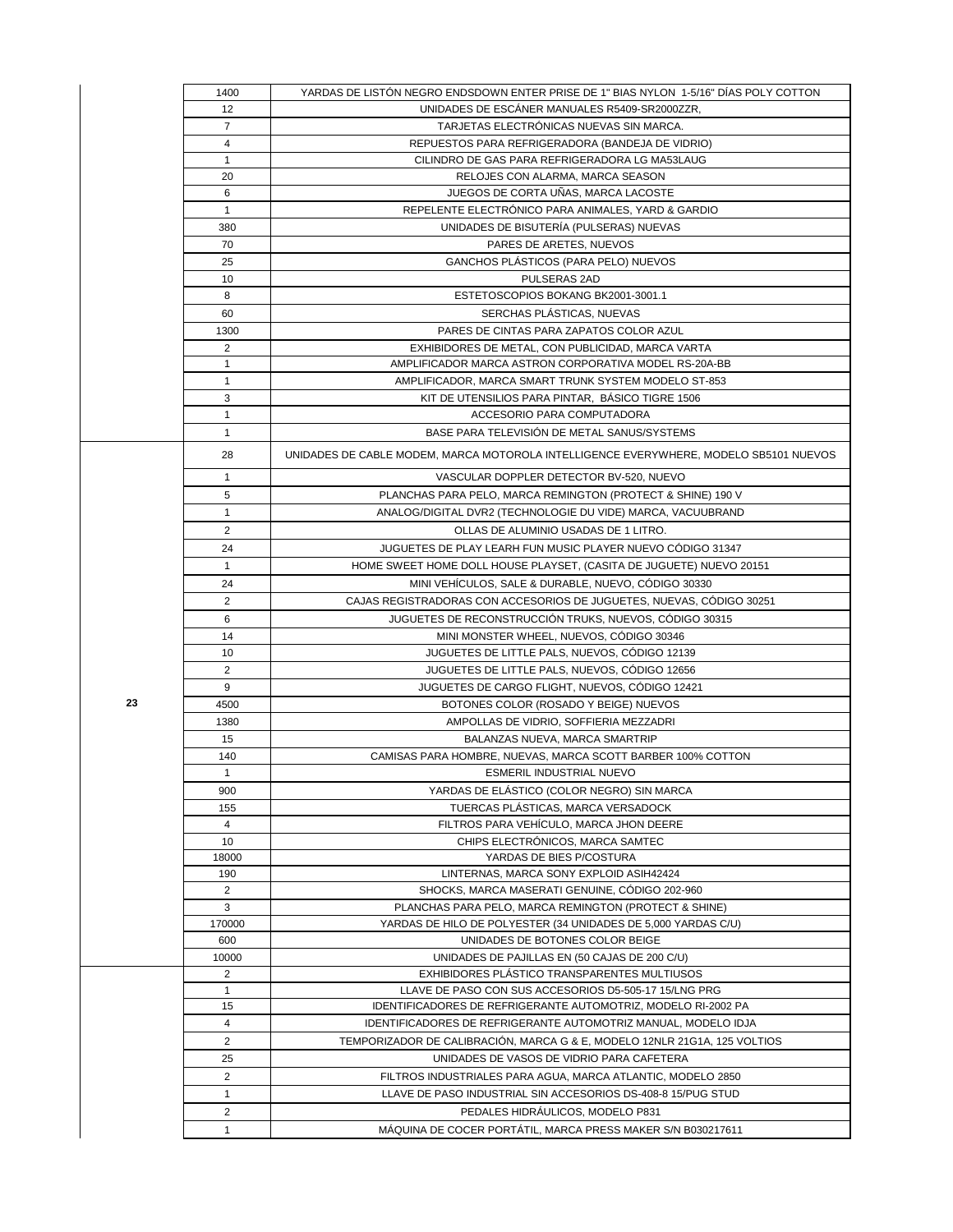|  |    | 1400                           | YARDAS DE LISTÓN NEGRO ENDSDOWN ENTER PRISE DE 1" BIAS NYLON 1-5/16" DIAS POLY COTTON                 |
|--|----|--------------------------------|-------------------------------------------------------------------------------------------------------|
|  |    | 12                             | UNIDADES DE ESCÁNER MANUALES R5409-SR2000ZZR.                                                         |
|  |    | $\overline{7}$                 | TARJETAS ELECTRÓNICAS NUEVAS SIN MARCA.                                                               |
|  |    | $\overline{4}$                 | REPUESTOS PARA REFRIGERADORA (BANDEJA DE VIDRIO)                                                      |
|  |    | $\mathbf{1}$                   | CILINDRO DE GAS PARA REFRIGERADORA LG MA53LAUG                                                        |
|  |    | 20                             | RELOJES CON ALARMA, MARCA SEASON                                                                      |
|  |    | 6                              | JUEGOS DE CORTA UÑAS, MARCA LACOSTE                                                                   |
|  |    | $\mathbf{1}$                   | REPELENTE ELECTRÓNICO PARA ANIMALES, YARD & GARDIO                                                    |
|  |    | 380                            | UNIDADES DE BISUTERÍA (PULSERAS) NUEVAS                                                               |
|  |    | 70                             | PARES DE ARETES. NUEVOS                                                                               |
|  |    | 25                             | GANCHOS PLÁSTICOS (PARA PELO) NUEVOS                                                                  |
|  |    | 10                             | PULSERAS 2AD                                                                                          |
|  |    | 8                              | ESTETOSCOPIOS BOKANG BK2001-3001.1                                                                    |
|  |    | 60                             | SERCHAS PLÁSTICAS, NUEVAS                                                                             |
|  |    | 1300                           | PARES DE CINTAS PARA ZAPATOS COLOR AZUL                                                               |
|  |    | $\overline{c}$                 | EXHIBIDORES DE METAL, CON PUBLICIDAD, MARCA VARTA                                                     |
|  |    | $\mathbf{1}$                   | AMPLIFICADOR MARCA ASTRON CORPORATIVA MODEL RS-20A-BB                                                 |
|  |    | $\mathbf{1}$                   | AMPLIFICADOR, MARCA SMART TRUNK SYSTEM MODELO ST-853                                                  |
|  |    | 3                              | KIT DE UTENSILIOS PARA PINTAR, BÁSICO TIGRE 1506                                                      |
|  |    | $\mathbf{1}$                   | ACCESORIO PARA COMPUTADORA                                                                            |
|  |    | $\mathbf{1}$                   | BASE PARA TELEVISIÓN DE METAL SANUS/SYSTEMS                                                           |
|  |    | 28                             | UNIDADES DE CABLE MODEM, MARCA MOTOROLA INTELLIGENCE EVERYWHERE, MODELO SB5101 NUEVOS                 |
|  |    |                                |                                                                                                       |
|  |    | $\mathbf{1}$                   | VASCULAR DOPPLER DETECTOR BV-520, NUEVO                                                               |
|  |    | 5                              | PLANCHAS PARA PELO, MARCA REMINGTON (PROTECT & SHINE) 190 V                                           |
|  |    | $\mathbf{1}$                   | ANALOG/DIGITAL DVR2 (TECHNOLOGIE DU VIDE) MARCA, VACUUBRAND                                           |
|  |    | $\overline{2}$                 | OLLAS DE ALUMINIO USADAS DE 1 LITRO.                                                                  |
|  |    | 24                             | JUGUETES DE PLAY LEARH FUN MUSIC PLAYER NUEVO CÓDIGO 31347                                            |
|  |    | $\mathbf{1}$                   | HOME SWEET HOME DOLL HOUSE PLAYSET, (CASITA DE JUGUETE) NUEVO 20151                                   |
|  |    | 24                             | MINI VEHÍCULOS, SALE & DURABLE, NUEVO, CÓDIGO 30330                                                   |
|  |    | $\overline{2}$                 | CAJAS REGISTRADORAS CON ACCESORIOS DE JUGUETES, NUEVAS, CÓDIGO 30251                                  |
|  |    | 6                              | JUGUETES DE RECONSTRUCCIÓN TRUKS, NUEVOS, CÓDIGO 30315                                                |
|  |    | 14                             | MINI MONSTER WHEEL, NUEVOS, CODIGO 30346                                                              |
|  |    | 10                             | JUGUETES DE LITTLE PALS, NUEVOS, CÓDIGO 12139                                                         |
|  |    | $\overline{2}$                 | JUGUETES DE LITTLE PALS, NUEVOS, CÓDIGO 12656                                                         |
|  |    | 9                              | JUGUETES DE CARGO FLIGHT, NUEVOS, CÓDIGO 12421                                                        |
|  | 23 | 4500                           | BOTONES COLOR (ROSADO Y BEIGE) NUEVOS                                                                 |
|  |    | 1380                           | AMPOLLAS DE VIDRIO, SOFFIERIA MEZZADRI                                                                |
|  |    | 15                             | BALANZAS NUEVA, MARCA SMARTRIP                                                                        |
|  |    | 140                            | CAMISAS PARA HOMBRE, NUEVAS, MARCA SCOTT BARBER 100% COTTON                                           |
|  |    | $\mathbf{1}$                   | ESMERIL INDUSTRIAL NUEVO                                                                              |
|  |    | 900                            | YARDAS DE ELÁSTICO (COLOR NEGRO) SIN MARCA                                                            |
|  |    | 155                            | TUERCAS PLÁSTICAS, MARCA VERSADOCK                                                                    |
|  |    | 4                              | FILTROS PARA VEHÍCULO, MARCA JHON DEERE                                                               |
|  |    | 10                             | CHIPS ELECTRÓNICOS, MARCA SAMTEC                                                                      |
|  |    | 18000                          | YARDAS DE BIES P/COSTURA                                                                              |
|  |    | 190                            | LINTERNAS, MARCA SONY EXPLOID ASIH42424                                                               |
|  |    | $\overline{2}$                 | SHOCKS, MARCA MASERATI GENUINE, CÓDIGO 202-960                                                        |
|  |    | 3                              | PLANCHAS PARA PELO, MARCA REMINGTON (PROTECT & SHINE)                                                 |
|  |    | 170000                         | YARDAS DE HILO DE POLYESTER (34 UNIDADES DE 5,000 YARDAS C/U)                                         |
|  |    | 600                            | UNIDADES DE BOTONES COLOR BEIGE                                                                       |
|  |    | 10000                          | UNIDADES DE PAJILLAS EN (50 CAJAS DE 200 C/U)                                                         |
|  |    | $\overline{2}$<br>$\mathbf{1}$ | EXHIBIDORES PLÁSTICO TRANSPARENTES MULTIUSOS<br>LLAVE DE PASO CON SUS ACCESORIOS D5-505-17 15/LNG PRG |
|  |    | 15                             | IDENTIFICADORES DE REFRIGERANTE AUTOMOTRIZ, MODELO RI-2002 PA                                         |
|  |    | 4                              | IDENTIFICADORES DE REFRIGERANTE AUTOMOTRIZ MANUAL, MODELO IDJA                                        |
|  |    | $\overline{2}$                 | TEMPORIZADOR DE CALIBRACIÓN, MARCA G & E, MODELO 12NLR 21G1A, 125 VOLTIOS                             |
|  |    | 25                             | UNIDADES DE VASOS DE VIDRIO PARA CAFETERA                                                             |
|  |    |                                |                                                                                                       |
|  |    | $\overline{2}$                 | FILTROS INDUSTRIALES PARA AGUA, MARCA ATLANTIC, MODELO 2850                                           |
|  |    | $\mathbf{1}$                   | LLAVE DE PASO INDUSTRIAL SIN ACCESORIOS DS-408-8 15/PUG STUD                                          |
|  |    | $\overline{2}$                 | PEDALES HIDRÁULICOS, MODELO P831                                                                      |
|  |    | $\mathbf{1}$                   | MÁQUINA DE COCER PORTÁTIL, MARCA PRESS MAKER S/N B030217611                                           |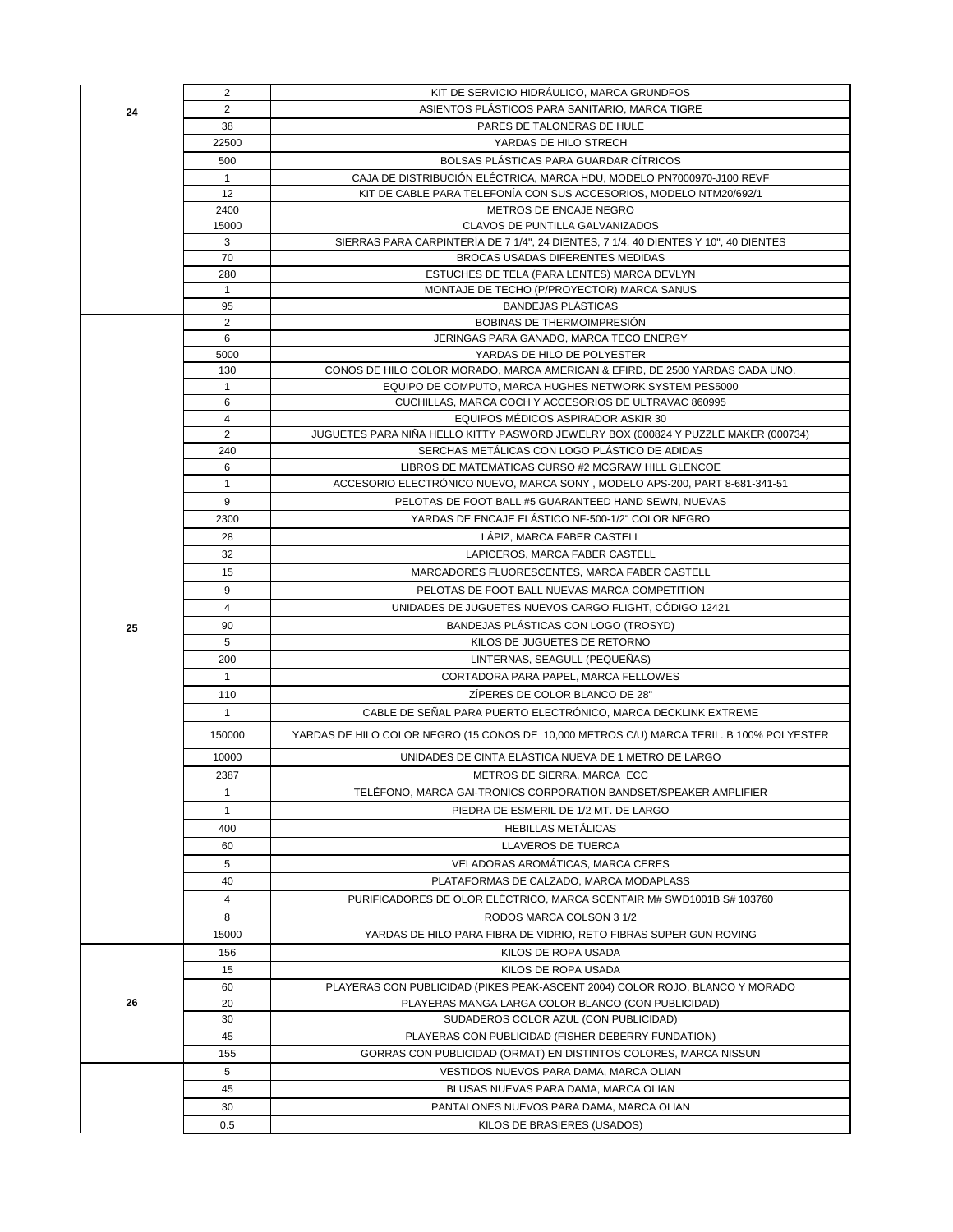|    | $\overline{2}$      | KIT DE SERVICIO HIDRÁULICO, MARCA GRUNDFOS                                                  |
|----|---------------------|---------------------------------------------------------------------------------------------|
| 24 | $\overline{2}$      | ASIENTOS PLÁSTICOS PARA SANITARIO, MARCA TIGRE                                              |
|    | 38                  | PARES DE TALONERAS DE HULE                                                                  |
|    | 22500               | YARDAS DE HILO STRECH                                                                       |
|    | 500                 | BOLSAS PLÁSTICAS PARA GUARDAR CÍTRICOS                                                      |
|    | $\mathbf{1}$        | CAJA DE DISTRIBUCIÓN ELÉCTRICA. MARCA HDU. MODELO PN7000970-J100 REVF                       |
|    | 12                  | KIT DE CABLE PARA TELEFONÍA CON SUS ACCESORIOS, MODELO NTM20/692/1                          |
|    | 2400                | METROS DE ENCAJE NEGRO                                                                      |
|    | 15000               | CLAVOS DE PUNTILLA GALVANIZADOS                                                             |
|    | 3                   | SIERRAS PARA CARPINTERÍA DE 7 1/4", 24 DIENTES, 7 1/4, 40 DIENTES Y 10", 40 DIENTES         |
|    | 70                  | BROCAS USADAS DIFERENTES MEDIDAS                                                            |
|    | 280                 | ESTUCHES DE TELA (PARA LENTES) MARCA DEVLYN                                                 |
|    | $\mathbf{1}$        | MONTAJE DE TECHO (P/PROYECTOR) MARCA SANUS                                                  |
|    | 95                  | <b>BANDEJAS PLÁSTICAS</b>                                                                   |
|    | $\overline{2}$      | BOBINAS DE THERMOIMPRESIÓN                                                                  |
|    | 6                   | JERINGAS PARA GANADO, MARCA TECO ENERGY                                                     |
|    | 5000                | YARDAS DE HILO DE POLYESTER                                                                 |
|    | 130<br>$\mathbf{1}$ | CONOS DE HILO COLOR MORADO, MARCA AMERICAN & EFIRD, DE 2500 YARDAS CADA UNO.                |
|    | 6                   | EQUIPO DE COMPUTO, MARCA HUGHES NETWORK SYSTEM PES5000                                      |
|    | 4                   | CUCHILLAS, MARCA COCH Y ACCESORIOS DE ULTRAVAC 860995<br>EQUIPOS MÉDICOS ASPIRADOR ASKIR 30 |
|    | $\overline{2}$      | JUGUETES PARA NIÑA HELLO KITTY PASWORD JEWELRY BOX (000824 Y PUZZLE MAKER (000734)          |
|    | 240                 | SERCHAS METÁLICAS CON LOGO PLÁSTICO DE ADIDAS                                               |
|    | 6                   | LIBROS DE MATEMÁTICAS CURSO #2 MCGRAW HILL GLENCOE                                          |
|    | $\mathbf{1}$        | ACCESORIO ELECTRÓNICO NUEVO, MARCA SONY, MODELO APS-200, PART 8-681-341-51                  |
|    | 9                   | PELOTAS DE FOOT BALL #5 GUARANTEED HAND SEWN, NUEVAS                                        |
|    | 2300                | YARDAS DE ENCAJE ELÁSTICO NF-500-1/2" COLOR NEGRO                                           |
|    | 28                  | LÁPIZ, MARCA FABER CASTELL                                                                  |
|    | 32                  | LAPICEROS, MARCA FABER CASTELL                                                              |
|    |                     |                                                                                             |
|    | 15                  | MARCADORES FLUORESCENTES, MARCA FABER CASTELL                                               |
|    | 9                   | PELOTAS DE FOOT BALL NUEVAS MARCA COMPETITION                                               |
|    | $\overline{4}$      | UNIDADES DE JUGUETES NUEVOS CARGO FLIGHT, CÓDIGO 12421                                      |
| 25 | 90                  | BANDEJAS PLÁSTICAS CON LOGO (TROSYD)                                                        |
|    | 5                   | KILOS DE JUGUETES DE RETORNO                                                                |
|    | 200                 | LINTERNAS, SEAGULL (PEQUEÑAS)                                                               |
|    | $\mathbf{1}$        | CORTADORA PARA PAPEL, MARCA FELLOWES                                                        |
|    | 110                 | ZÍPERES DE COLOR BLANCO DE 28"                                                              |
|    | 1                   | CABLE DE SEÑAL PARA PUERTO ELECTRÓNICO, MARCA DECKLINK EXTREME                              |
|    |                     |                                                                                             |
|    | 150000              | YARDAS DE HILO COLOR NEGRO (15 CONOS DE 10,000 METROS C/U) MARCA TERIL. B 100% POLYESTER    |
|    | 10000               | UNIDADES DE CINTA ELÁSTICA NUEVA DE 1 METRO DE LARGO                                        |
|    | 2387                | METROS DE SIERRA, MARCA ECC                                                                 |
|    | $\mathbf{1}$        | TELÉFONO, MARCA GAI-TRONICS CORPORATION BANDSET/SPEAKER AMPLIFIER                           |
|    | $\mathbf{1}$        | PIEDRA DE ESMERIL DE 1/2 MT. DE LARGO                                                       |
|    | 400                 | <b>HEBILLAS METÁLICAS</b>                                                                   |
|    | 60                  | <b>LLAVEROS DE TUERCA</b>                                                                   |
|    | 5                   | VELADORAS AROMÁTICAS, MARCA CERES                                                           |
|    | 40                  |                                                                                             |
|    |                     | PLATAFORMAS DE CALZADO, MARCA MODAPLASS                                                     |
|    | 4                   | PURIFICADORES DE OLOR ELÉCTRICO, MARCA SCENTAIR M# SWD1001B S# 103760                       |
|    | 8                   | RODOS MARCA COLSON 3 1/2                                                                    |
|    | 15000               | YARDAS DE HILO PARA FIBRA DE VIDRIO, RETO FIBRAS SUPER GUN ROVING                           |
|    | 156                 | KILOS DE ROPA USADA                                                                         |
|    | 15                  | KILOS DE ROPA USADA                                                                         |
| 26 | 60<br>20            | PLAYERAS CON PUBLICIDAD (PIKES PEAK-ASCENT 2004) COLOR ROJO, BLANCO Y MORADO                |
|    | 30                  | PLAYERAS MANGA LARGA COLOR BLANCO (CON PUBLICIDAD)<br>SUDADEROS COLOR AZUL (CON PUBLICIDAD) |
|    | 45                  | PLAYERAS CON PUBLICIDAD (FISHER DEBERRY FUNDATION)                                          |
|    | 155                 | GORRAS CON PUBLICIDAD (ORMAT) EN DISTINTOS COLORES, MARCA NISSUN                            |
|    | 5                   |                                                                                             |
|    | 45                  | VESTIDOS NUEVOS PARA DAMA, MARCA OLIAN                                                      |
|    | 30                  | BLUSAS NUEVAS PARA DAMA, MARCA OLIAN<br>PANTALONES NUEVOS PARA DAMA, MARCA OLIAN            |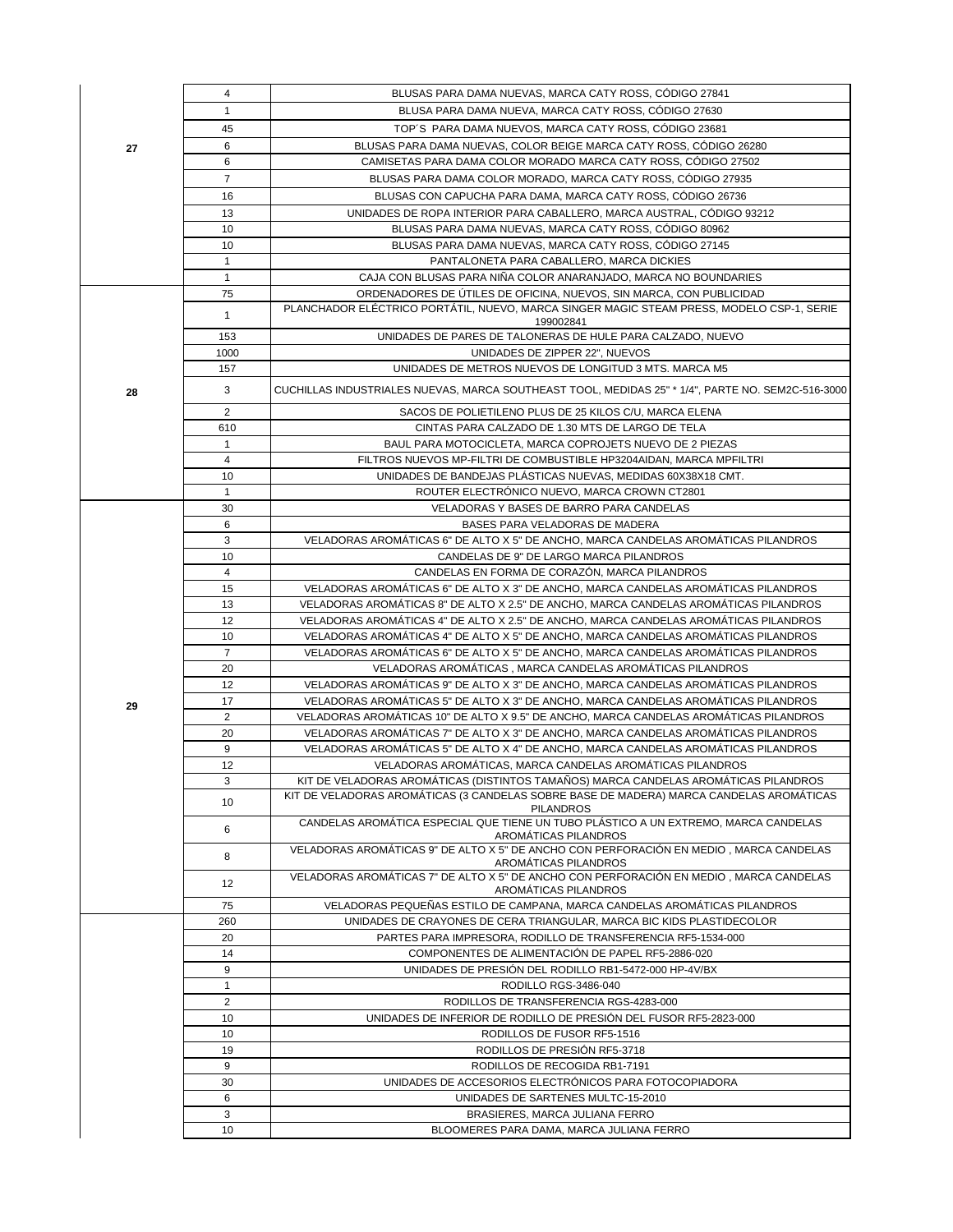|    | 4              | BLUSAS PARA DAMA NUEVAS, MARCA CATY ROSS, CÓDIGO 27841                                                                                          |
|----|----------------|-------------------------------------------------------------------------------------------------------------------------------------------------|
|    | $\mathbf{1}$   | BLUSA PARA DAMA NUEVA, MARCA CATY ROSS, CÓDIGO 27630                                                                                            |
|    | 45             | TOP'S PARA DAMA NUEVOS, MARCA CATY ROSS, CÓDIGO 23681                                                                                           |
| 27 | 6              | BLUSAS PARA DAMA NUEVAS, COLOR BEIGE MARCA CATY ROSS, CÓDIGO 26280                                                                              |
|    | 6              | CAMISETAS PARA DAMA COLOR MORADO MARCA CATY ROSS, CÓDIGO 27502                                                                                  |
|    | $\overline{7}$ | BLUSAS PARA DAMA COLOR MORADO, MARCA CATY ROSS, CÓDIGO 27935                                                                                    |
|    | 16             | BLUSAS CON CAPUCHA PARA DAMA, MARCA CATY ROSS, CÓDIGO 26736                                                                                     |
|    | 13             | UNIDADES DE ROPA INTERIOR PARA CABALLERO, MARCA AUSTRAL, CÓDIGO 93212                                                                           |
|    | 10             | BLUSAS PARA DAMA NUEVAS, MARCA CATY ROSS, CÓDIGO 80962                                                                                          |
|    | 10             | BLUSAS PARA DAMA NUEVAS, MARCA CATY ROSS, CÓDIGO 27145                                                                                          |
|    | $\mathbf{1}$   | PANTALONETA PARA CABALLERO, MARCA DICKIES                                                                                                       |
|    | $\mathbf{1}$   | CAJA CON BLUSAS PARA NIÑA COLOR ANARANJADO. MARCA NO BOUNDARIES                                                                                 |
|    | 75             | ORDENADORES DE ÚTILES DE OFICINA, NUEVOS, SIN MARCA, CON PUBLICIDAD                                                                             |
|    |                | PLANCHADOR ELÉCTRICO PORTÁTIL, NUEVO, MARCA SINGER MAGIC STEAM PRESS, MODELO CSP-1, SERIE                                                       |
|    | $\mathbf{1}$   | 199002841                                                                                                                                       |
|    | 153            | UNIDADES DE PARES DE TALONERAS DE HULE PARA CALZADO, NUEVO                                                                                      |
|    | 1000           | UNIDADES DE ZIPPER 22", NUEVOS                                                                                                                  |
|    | 157            | UNIDADES DE METROS NUEVOS DE LONGITUD 3 MTS. MARCA M5                                                                                           |
| 28 | 3              | CUCHILLAS INDUSTRIALES NUEVAS, MARCA SOUTHEAST TOOL, MEDIDAS 25" * 1/4", PARTE NO. SEM2C-516-3000                                               |
|    | $\overline{2}$ | SACOS DE POLIETILENO PLUS DE 25 KILOS C/U, MARCA ELENA                                                                                          |
|    | 610            | CINTAS PARA CALZADO DE 1.30 MTS DE LARGO DE TELA                                                                                                |
|    | $\mathbf{1}$   | BAUL PARA MOTOCICLETA, MARCA COPROJETS NUEVO DE 2 PIEZAS                                                                                        |
|    | $\overline{4}$ | FILTROS NUEVOS MP-FILTRI DE COMBUSTIBLE HP3204AIDAN, MARCA MPFILTRI                                                                             |
|    | 10             | UNIDADES DE BANDEJAS PLÁSTICAS NUEVAS, MEDIDAS 60X38X18 CMT.                                                                                    |
|    | $\mathbf{1}$   | ROUTER ELECTRÓNICO NUEVO, MARCA CROWN CT2801                                                                                                    |
|    | 30             | VELADORAS Y BASES DE BARRO PARA CANDELAS                                                                                                        |
|    | 6              | BASES PARA VELADORAS DE MADERA                                                                                                                  |
|    | 3              | VELADORAS AROMÁTICAS 6" DE ALTO X 5" DE ANCHO, MARCA CANDELAS AROMÁTICAS PILANDROS                                                              |
|    | 10             | CANDELAS DE 9" DE LARGO MARCA PILANDROS                                                                                                         |
|    | 4              | CANDELAS EN FORMA DE CORAZÓN, MARCA PILANDROS                                                                                                   |
|    | 15             | VELADORAS AROMATICAS 6" DE ALTO X 3" DE ANCHO, MARCA CANDELAS AROMATICAS PILANDROS                                                              |
|    | 13             | VELADORAS AROMÁTICAS 8" DE ALTO X 2.5" DE ANCHO, MARCA CANDELAS AROMÁTICAS PILANDROS                                                            |
|    | 12             | VELADORAS AROMÁTICAS 4" DE ALTO X 2.5" DE ANCHO, MARCA CANDELAS AROMÁTICAS PILANDROS                                                            |
|    | 10             | VELADORAS AROMÁTICAS 4" DE ALTO X 5" DE ANCHO, MARCA CANDELAS AROMÁTICAS PILANDROS                                                              |
|    | $\overline{7}$ | VELADORAS AROMATICAS 6" DE ALTO X 5" DE ANCHO, MARCA CANDELAS AROMATICAS PILANDROS                                                              |
|    | 20             | VELADORAS AROMÁTICAS, MARCA CANDELAS AROMÁTICAS PILANDROS                                                                                       |
|    | 12             | VELADORAS AROMÁTICAS 9" DE ALTO X 3" DE ANCHO, MARCA CANDELAS AROMÁTICAS PILANDROS                                                              |
| 29 | 17             | VELADORAS AROMÁTICAS 5" DE ALTO X 3" DE ANCHO, MARCA CANDELAS AROMÁTICAS PILANDROS                                                              |
|    | $\overline{2}$ | VELADORAS AROMÁTICAS 10" DE ALTO X 9.5" DE ANCHO, MARCA CANDELAS AROMÁTICAS PILANDROS                                                           |
|    | 20<br>9        | VELADORAS AROMÁTICAS 7" DE ALTO X 3" DE ANCHO, MARCA CANDELAS AROMÁTICAS PILANDROS                                                              |
|    | 12             | VELADORAS AROMÁTICAS 5" DE ALTO X 4" DE ANCHO, MARCA CANDELAS AROMÁTICAS PILANDROS<br>VELADORAS AROMÁTICAS, MARCA CANDELAS AROMÁTICAS PILANDROS |
|    | 3              | KIT DE VELADORAS AROMÁTICAS (DISTINTOS TAMAÑOS) MARCA CANDELAS AROMÁTICAS PILANDROS                                                             |
|    |                | KIT DE VELADORAS AROMÁTICAS (3 CANDELAS SOBRE BASE DE MADERA) MARCA CANDELAS AROMÁTICAS                                                         |
|    | 10             | <b>PILANDROS</b>                                                                                                                                |
|    | 6              | CANDELAS AROMÁTICA ESPECIAL QUE TIENE UN TUBO PLÁSTICO A UN EXTREMO, MARCA CANDELAS<br>AROMATICAS PILANDROS                                     |
|    | 8              | VELADORAS AROMÁTICAS 9" DE ALTO X 5" DE ANCHO CON PERFORACIÓN EN MEDIO, MARCA CANDELAS                                                          |
|    |                | AROMÁTICAS PILANDROS                                                                                                                            |
|    | 12             | VELADORAS AROMÁTICAS 7" DE ALTO X 5" DE ANCHO CON PERFORACIÓN EN MEDIO, MARCA CANDELAS<br>AROMÁTICAS PILANDROS                                  |
|    | 75             | VELADORAS PEQUEÑAS ESTILO DE CAMPANA, MARCA CANDELAS AROMÁTICAS PILANDROS                                                                       |
|    | 260            | UNIDADES DE CRAYONES DE CERA TRIANGULAR, MARCA BIC KIDS PLASTIDECOLOR                                                                           |
|    | 20             | PARTES PARA IMPRESORA, RODILLO DE TRANSFERENCIA RF5-1534-000                                                                                    |
|    | 14             | COMPONENTES DE ALIMENTACIÓN DE PAPEL RF5-2886-020                                                                                               |
|    | 9              | UNIDADES DE PRESIÓN DEL RODILLO RB1-5472-000 HP-4V/BX                                                                                           |
|    | $\mathbf{1}$   | RODILLO RGS-3486-040                                                                                                                            |
|    | $\overline{2}$ | RODILLOS DE TRANSFERENCIA RGS-4283-000                                                                                                          |
|    | 10             | UNIDADES DE INFERIOR DE RODILLO DE PRESIÓN DEL FUSOR RF5-2823-000                                                                               |
|    | 10             | RODILLOS DE FUSOR RF5-1516                                                                                                                      |
|    | 19             | RODILLOS DE PRESIÓN RF5-3718                                                                                                                    |
|    | 9              | RODILLOS DE RECOGIDA RB1-7191                                                                                                                   |
|    | 30             | UNIDADES DE ACCESORIOS ELECTRÓNICOS PARA FOTOCOPIADORA                                                                                          |
|    | 6              | UNIDADES DE SARTENES MULTC-15-2010                                                                                                              |
|    | 3              | BRASIERES, MARCA JULIANA FERRO                                                                                                                  |
|    | 10             | BLOOMERES PARA DAMA, MARCA JULIANA FERRO                                                                                                        |